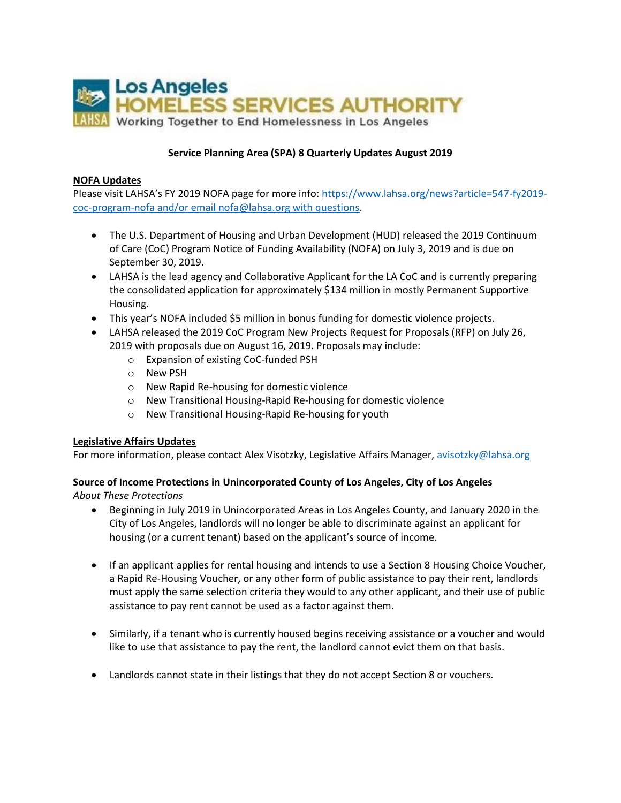

## **Service Planning Area (SPA) 8 Quarterly Updates August 2019**

## **NOFA Updates**

Please visit LAHSA's FY 2019 NOFA page for more info: [https://www.lahsa.org/news?article=547-fy2019](https://www.lahsa.org/news?article=547-fy2019-coc-program-nofa) [coc-program-nofa](https://www.lahsa.org/news?article=547-fy2019-coc-program-nofa) and/or email [nofa@lahsa.org](mailto:nofa@lahsa.org) with questions.

- The U.S. Department of Housing and Urban Development (HUD) released the 2019 Continuum of Care (CoC) Program Notice of Funding Availability (NOFA) on July 3, 2019 and is due on September 30, 2019.
- LAHSA is the lead agency and Collaborative Applicant for the LA CoC and is currently preparing the consolidated application for approximately \$134 million in mostly Permanent Supportive Housing.
- This year's NOFA included \$5 million in bonus funding for domestic violence projects.
- LAHSA released the 2019 CoC Program New Projects Request for Proposals (RFP) on July 26, 2019 with proposals due on August 16, 2019. Proposals may include:
	- o Expansion of existing CoC-funded PSH
	- o New PSH
	- o New Rapid Re-housing for domestic violence
	- o New Transitional Housing-Rapid Re-housing for domestic violence
	- o New Transitional Housing-Rapid Re-housing for youth

## **Legislative Affairs Updates**

For more information, please contact Alex Visotzky, Legislative Affairs Manager, [avisotzky@lahsa.org](mailto:avisotzky@lahsa.org)

## **Source of Income Protections in Unincorporated County of Los Angeles, City of Los Angeles** *About These Protections*

- Beginning in July 2019 in Unincorporated Areas in Los Angeles County, and January 2020 in the City of Los Angeles, landlords will no longer be able to discriminate against an applicant for housing (or a current tenant) based on the applicant's source of income.
- If an applicant applies for rental housing and intends to use a Section 8 Housing Choice Voucher, a Rapid Re-Housing Voucher, or any other form of public assistance to pay their rent, landlords must apply the same selection criteria they would to any other applicant, and their use of public assistance to pay rent cannot be used as a factor against them.
- Similarly, if a tenant who is currently housed begins receiving assistance or a voucher and would like to use that assistance to pay the rent, the landlord cannot evict them on that basis.
- Landlords cannot state in their listings that they do not accept Section 8 or vouchers.